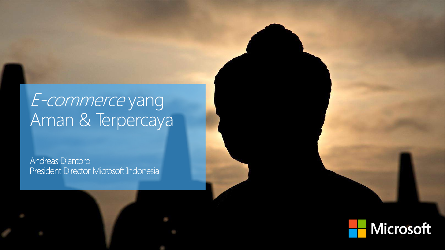# E-commerce yang<br>Aman & Terpercaya

Andreas Diantoro President Director Microsoft Indonesia

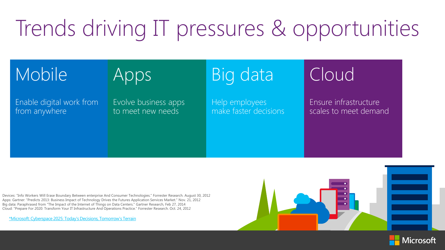## Trends driving IT pressures & opportunities

## Mobile Apps Big data Cloud

>50% from anywhere Enable digital work from

Evolve business app<br>to meet new needs Evolve business apps 26B make faster decisions Help employees

Ensure infrastructure<br>scales to meet demand Ensure infrastructure

Devices: "Info Workers Will Erase Boundary Between enterprise And Consumer Technologies." Forrester Research. August 30, 2012 Apps: Gartner: "Predicts 2013: Business Impact of Technology Drives the Futures Application Services Market." Nov. 21, 2012 Big data: Paraphrased from "The Impact of the Internet of Things on Data Centers." Gartner Research, Feb 27, 2014 Cloud: "Prepare For 2020: Transform Your IT Infrastructure And Operations Practice." Forrester Research. Oct. 24, 2012

[\\*Microsoft: Cyberspace 2025: Today's Decisions, Tomorrow's Terrain](http://download.microsoft.com/download/C/7/7/C7775937-748E-4E95-85FB-24581F16B588/Cyberspace 2025 Today’s Decisions, Tomorrow’s Terrain.pdf)



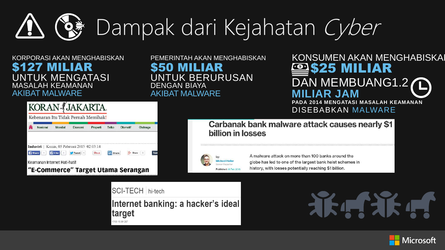## Dampak dari Kejahatan Cyber**Q 崇**

### KORPORASI AKAN MENGHABISKAN \$127 MILIAR MASALAH KEAMANAN AKIBAT MALWARE UNTUK MENGATASI

KORAN JAKARTA.

PEMERINTAH AKAN MENGHABISKAN \$50 MILIAR DENGAN BIAYA AKIBAT MALWARE UNTUK BERURUSAN

### KONSUMEN AKAN MENGHABISKA **MILIAR** DAN MEMBUANG1.2 **MILIAR JAM PADA 2014 MENGATASI MASALAH KEAMANAN**

DISEBABKAN MALWARE

Kebenaran Itu Tidak Pernah Memihak! Telko Nasional Ekonomi Properti Otomotif Olahraga Industri | Kamis, 05 Pebruari 2015 02:03:14 **Share** Filike 1 Tweet Keamanan Internet Hati-hati! "E-Commerce" Target Utama Serangan

Carbanak bank malware attack causes nearly \$1 billion in losses

Published: 16 Feb 2015

A malware attack on more than 100 banks around the globe has led to one of the largest bank heist schemes in history, with losses potentially reaching \$1 billion.

SCI-TECH hi-tech

Internet banking: a hacker's ideal target 17/03 15:38 CET